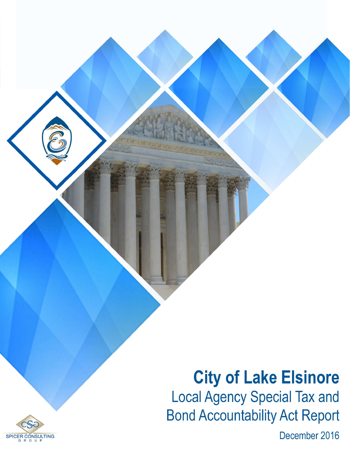# **City of Lake Elsinore Local Agency Special Tax and Bond Accountability Act Report**

December 2016

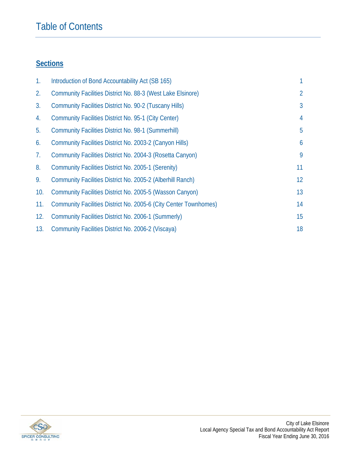### Table of Contents

### **Sections**

| $\mathbf{1}$ . | Introduction of Bond Accountability Act (SB 165)                 |                 |
|----------------|------------------------------------------------------------------|-----------------|
| 2.             | Community Facilities District No. 88-3 (West Lake Elsinore)      | 2               |
| 3.             | <b>Community Facilities District No. 90-2 (Tuscany Hills)</b>    | $\mathfrak{Z}$  |
| 4.             | <b>Community Facilities District No. 95-1 (City Center)</b>      | 4               |
| 5.             | <b>Community Facilities District No. 98-1 (Summerhill)</b>       | 5               |
| 6.             | Community Facilities District No. 2003-2 (Canyon Hills)          | 6               |
| 7.             | Community Facilities District No. 2004-3 (Rosetta Canyon)        | 9               |
| 8.             | Community Facilities District No. 2005-1 (Serenity)              | 11              |
| 9.             | Community Facilities District No. 2005-2 (Alberhill Ranch)       | 12 <sup>°</sup> |
| 10.            | Community Facilities District No. 2005-5 (Wasson Canyon)         | 13              |
| 11.            | Community Facilities District No. 2005-6 (City Center Townhomes) | 14              |
| 12.            | Community Facilities District No. 2006-1 (Summerly)              | 15              |
| 13.            | Community Facilities District No. 2006-2 (Viscaya)               | 18              |

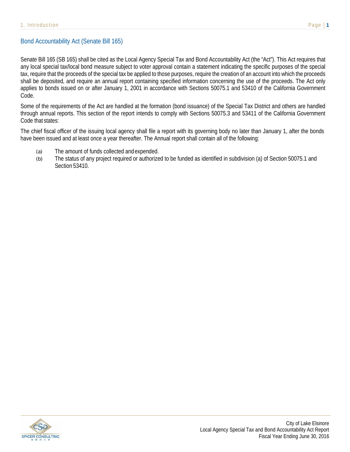#### Bond Accountability Act (Senate Bill 165)

Senate Bill 165 (SB 165) shall be cited as the Local Agency Special Tax and Bond Accountability Act (the "Act"). This Act requires that any local special tax/local bond measure subject to voter approval contain a statement indicating the specific purposes of the special tax, require that the proceeds of the special tax be applied to those purposes, require the creation of an account into which the proceeds shall be deposited, and require an annual report containing specified information concerning the use of the proceeds. The Act only applies to bonds issued on or after January 1, 2001 in accordance with Sections 50075.1 and 53410 of the California Government Code.

Some of the requirements of the Act are handled at the formation (bond issuance) of the Special Tax District and others are handled through annual reports. This section of the report intends to comply with Sections 50075.3 and 53411 of the California Government Code that states:

The chief fiscal officer of the issuing local agency shall file a report with its governing body no later than January 1, after the bonds have been issued and at least once a year thereafter. The Annual report shall contain all of the following:

- (a) The amount of funds collected and expended.
- (b) The status of any project required or authorized to be funded as identified in subdivision (a) of Section 50075.1 and Section 53410.

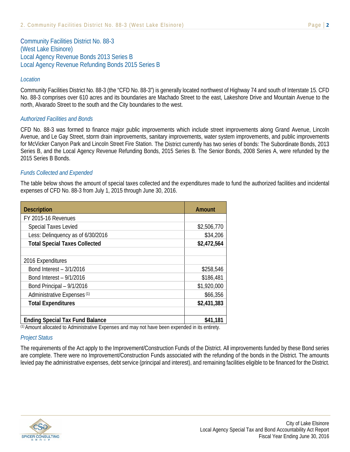Community Facilities District No. 88-3 (West Lake Elsinore) Local Agency Revenue Bonds 2013 Series B Local Agency Revenue Refunding Bonds 2015 Series B

#### *Location*

Community Facilities District No. 88-3 (the "CFD No. 88-3") is generally located northwest of Highway 74 and south of Interstate 15. CFD No. 88-3 comprises over 610 acres and its boundaries are Machado Street to the east, Lakeshore Drive and Mountain Avenue to the north, Alvarado Street to the south and the City boundaries to the west.

#### *Authorized Facilities and Bonds*

CFD No. 88-3 was formed to finance major public improvements which include street improvements along Grand Avenue, Lincoln Avenue, and Le Gay Street, storm drain improvements, sanitary improvements, water system improvements, and public improvements for McVicker Canyon Park and Lincoln Street Fire Station. The District currently has two series of bonds: The Subordinate Bonds, 2013 Series B, and the Local Agency Revenue Refunding Bonds, 2015 Series B. The Senior Bonds, 2008 Series A, were refunded by the 2015 Series B Bonds.

#### *Funds Collected and Expended*

The table below shows the amount of special taxes collected and the expenditures made to fund the authorized facilities and incidental expenses of CFD No. 88-3 from July 1, 2015 through June 30, 2016.

| <b>Description</b>                     | Amount      |
|----------------------------------------|-------------|
| FY 2015-16 Revenues                    |             |
| <b>Special Taxes Levied</b>            | \$2,506,770 |
| Less: Delinquency as of 6/30/2016      | \$34,206    |
| <b>Total Special Taxes Collected</b>   | \$2,472,564 |
|                                        |             |
| 2016 Expenditures                      |             |
| Bond Interest - 3/1/2016               | \$258,546   |
| Bond Interest - 9/1/2016               | \$186,481   |
| Bond Principal - 9/1/2016              | \$1,920,000 |
| Administrative Expenses <sup>(1)</sup> | \$66,356    |
| <b>Total Expenditures</b>              | \$2,431,383 |
|                                        |             |
| <b>Ending Special Tax Fund Balance</b> | \$41,181    |
|                                        | .           |

(1) Amount allocated to Administrative Expenses and may not have been expended in its entirety.

#### *Project Status*

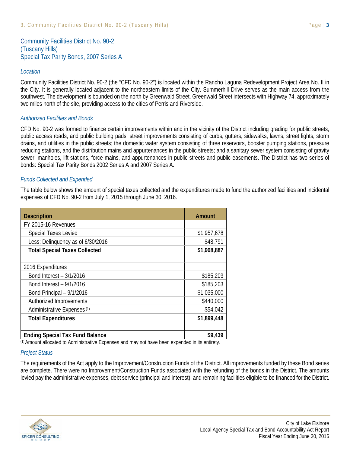Community Facilities District No. 90-2 (Tuscany Hills) Special Tax Parity Bonds, 2007 Series A

#### *Location*

Community Facilities District No. 90-2 (the "CFD No. 90-2") is located within the Rancho Laguna Redevelopment Project Area No. II in the City. It is generally located adjacent to the northeastern limits of the City. Summerhill Drive serves as the main access from the southwest. The development is bounded on the north by Greenwald Street. Greenwald Street intersects with Highway 74, approximately two miles north of the site, providing access to the cities of Perris and Riverside.

#### *Authorized Facilities and Bonds*

CFD No. 90-2 was formed to finance certain improvements within and in the vicinity of the District including grading for public streets, public access roads, and public building pads; street improvements consisting of curbs, gutters, sidewalks, lawns, street lights, storm drains, and utilities in the public streets; the domestic water system consisting of three reservoirs, booster pumping stations, pressure reducing stations, and the distribution mains and appurtenances in the public streets; and a sanitary sewer system consisting of gravity sewer, manholes, lift stations, force mains, and appurtenances in public streets and public easements. The District has two series of bonds: Special Tax Parity Bonds 2002 Series A and 2007 Series A.

#### *Funds Collected and Expended*

The table below shows the amount of special taxes collected and the expenditures made to fund the authorized facilities and incidental expenses of CFD No. 90-2 from July 1, 2015 through June 30, 2016.

| <b>Description</b>                     | Amount      |
|----------------------------------------|-------------|
| FY 2015-16 Revenues                    |             |
| <b>Special Taxes Levied</b>            | \$1,957,678 |
| Less: Delinquency as of 6/30/2016      | \$48,791    |
| <b>Total Special Taxes Collected</b>   | \$1,908,887 |
|                                        |             |
| 2016 Expenditures                      |             |
| Bond Interest - 3/1/2016               | \$185,203   |
| Bond Interest - 9/1/2016               | \$185,203   |
| Bond Principal - 9/1/2016              | \$1,035,000 |
| Authorized Improvements                | \$440,000   |
| Administrative Expenses <sup>(1)</sup> | \$54,042    |
| <b>Total Expenditures</b>              | \$1,899,448 |
|                                        |             |
| <b>Ending Special Tax Fund Balance</b> | \$9,439     |

(1) Amount allocated to Administrative Expenses and may not have been expended in its entirety.

#### *Project Status*

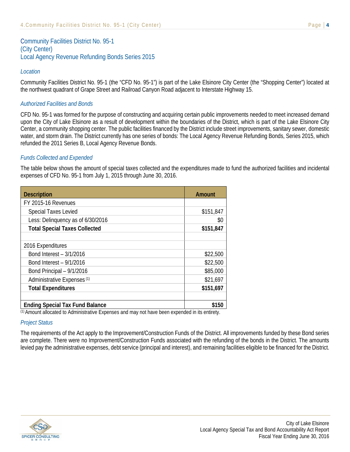Community Facilities District No. 95-1 (City Center) Local Agency Revenue Refunding Bonds Series 2015

#### *Location*

Community Facilities District No. 95-1 (the "CFD No. 95-1") is part of the Lake Elsinore City Center (the "Shopping Center") located at the northwest quadrant of Grape Street and Railroad Canyon Road adjacent to Interstate Highway 15.

#### *Authorized Facilities and Bonds*

CFD No. 95-1 was formed for the purpose of constructing and acquiring certain public improvements needed to meet increased demand upon the City of Lake Elsinore as a result of development within the boundaries of the District, which is part of the Lake Elsinore City Center, a community shopping center. The public facilities financed by the District include street improvements, sanitary sewer, domestic water, and storm drain. The District currently has one series of bonds: The Local Agency Revenue Refunding Bonds, Series 2015, which refunded the 2011 Series B, Local Agency Revenue Bonds.

#### *Funds Collected and Expended*

The table below shows the amount of special taxes collected and the expenditures made to fund the authorized facilities and incidental expenses of CFD No. 95-1 from July 1, 2015 through June 30, 2016.

| <b>Description</b>                     | Amount    |
|----------------------------------------|-----------|
| FY 2015-16 Revenues                    |           |
| <b>Special Taxes Levied</b>            | \$151,847 |
| Less: Delinquency as of 6/30/2016      | \$0       |
| <b>Total Special Taxes Collected</b>   | \$151,847 |
|                                        |           |
| 2016 Expenditures                      |           |
| Bond Interest - 3/1/2016               | \$22,500  |
| Bond Interest - 9/1/2016               | \$22,500  |
| Bond Principal - 9/1/2016              | \$85,000  |
| Administrative Expenses <sup>(1)</sup> | \$21,697  |
| <b>Total Expenditures</b>              | \$151,697 |
|                                        |           |
| <b>Ending Special Tax Fund Balance</b> | \$150     |

(1) Amount allocated to Administrative Expenses and may not have been expended in its entirety.

#### *Project Status*

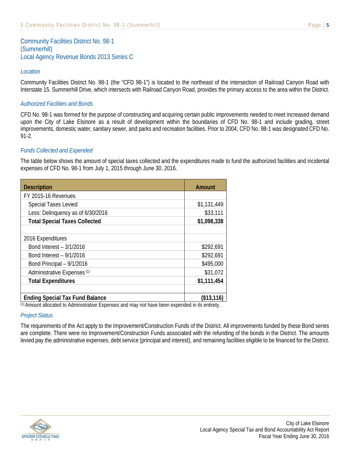Community Facilities District No. 98-1 (Summerhill) Local Agency Revenue Bonds 2013 Series C

#### *Location*

Community Facilities District No. 98-1 (the "CFD 98-1") is located to the northeast of the intersection of Railroad Canyon Road with Interstate 15. Summerhill Drive, which intersects with Railroad Canyon Road, provides the primary access to the area within the District.

#### *Authorized Facilities and Bonds*

CFD No. 98-1 was formed for the purpose of constructing and acquiring certain public improvements needed to meet increased demand upon the City of Lake Elsinore as a result of development within the boundaries of CFD No. 98-1 and include grading, street improvements, domestic water, sanitary sewer, and parks and recreation facilities. Prior to 2004, CFD No. 98-1 was designated CFD No. 91-2.

#### *Funds Collected and Expended*

The table below shows the amount of special taxes collected and the expenditures made to fund the authorized facilities and incidental expenses of CFD No. 98-1 from July 1, 2015 through June 30, 2016.

| <b>Description</b>                                                                             | <b>Amount</b> |  |
|------------------------------------------------------------------------------------------------|---------------|--|
| FY 2015-16 Revenues                                                                            |               |  |
| Special Taxes Levied                                                                           | \$1,131,449   |  |
| Less: Delinquency as of 6/30/2016                                                              | \$33,111      |  |
| <b>Total Special Taxes Collected</b>                                                           | \$1,098,338   |  |
|                                                                                                |               |  |
| 2016 Expenditures                                                                              |               |  |
| Bond Interest - 3/1/2016                                                                       | \$292,691     |  |
| Bond Interest - 9/1/2016                                                                       | \$292,691     |  |
| Bond Principal - 9/1/2016                                                                      | \$495,000     |  |
| Administrative Expenses <sup>(1)</sup>                                                         | \$31,072      |  |
| <b>Total Expenditures</b>                                                                      | \$1,111,454   |  |
|                                                                                                |               |  |
| <b>Ending Special Tax Fund Balance</b>                                                         | (\$13,116)    |  |
| (1) Amount ellecated to Administrative Evnences and may not have been evnended in its entirety |               |  |

(1) Amount allocated to Administrative Expenses and may not have been expended in its entirety.

#### *Project Status*

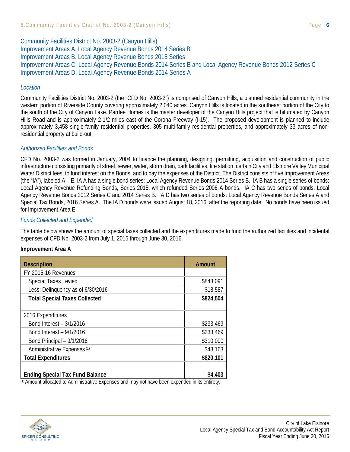Community Facilities District No. 2003-2 (Canyon Hills) Improvement Areas A, Local Agency Revenue Bonds 2014 Series B Improvement Areas B, Local Agency Revenue Bonds 2015 Series Improvement Areas C, Local Agency Revenue Bonds 2014 Series B and Local Agency Revenue Bonds 2012 Series C Improvement Areas D, Local Agency Revenue Bonds 2014 Series A

#### *Location*

Community Facilities District No. 2003-2 (the "CFD No. 2003-2") is comprised of Canyon Hills, a planned residential community in the western portion of Riverside County covering approximately 2,040 acres. Canyon Hills is located in the southeast portion of the City to the south of the City of Canyon Lake. Pardee Homes is the master developer of the Canyon Hills project that is bifurcated by Canyon Hills Road and is approximately 2-1/2 miles east of the Corona Freeway (I-15). The proposed development is planned to include approximately 3,458 single-family residential properties, 305 multi-family residential properties, and approximately 33 acres of nonresidential property at build-out.

#### *Authorized Facilities and Bonds*

CFD No. 2003-2 was formed in January, 2004 to finance the planning, designing, permitting, acquisition and construction of public infrastructure consisting primarily of street, sewer, water, storm drain, park facilities, fire station, certain City and Elsinore Valley Municipal Water District fees, to fund interest on the Bonds, and to pay the expenses of the District. The District consists of five Improvement Areas (the "IA"), labeled A – E. IA A has a single bond series: Local Agency Revenue Bonds 2014 Series B. IA B has a single series of bonds: Local Agency Revenue Refunding Bonds, Series 2015, which refunded Series 2006 A bonds. IA C has two series of bonds: Local Agency Revenue Bonds 2012 Series C and 2014 Series B. IA D has two series of bonds: Local Agency Revenue Bonds Series A and Special Tax Bonds, 2016 Series A. The IA D bonds were issued August 18, 2016, after the reporting date. No bonds have been issued for Improvement Area E.

#### *Funds Collected and Expended*

The table below shows the amount of special taxes collected and the expenditures made to fund the authorized facilities and incidental expenses of CFD No. 2003-2 from July 1, 2015 through June 30, 2016.

#### **Improvement Area A**

| <b>Description</b>                     | <b>Amount</b> |
|----------------------------------------|---------------|
| FY 2015-16 Revenues                    |               |
| <b>Special Taxes Levied</b>            | \$843,091     |
| Less: Delinquency as of 6/30/2016      | \$18,587      |
| <b>Total Special Taxes Collected</b>   | \$824,504     |
|                                        |               |
| 2016 Expenditures                      |               |
| Bond Interest - 3/1/2016               | \$233,469     |
| Bond Interest - 9/1/2016               | \$233,469     |
| Bond Principal - 9/1/2016              | \$310,000     |
| Administrative Expenses <sup>(1)</sup> | \$43,163      |
| <b>Total Expenditures</b>              | \$820,101     |
|                                        |               |
| <b>Ending Special Tax Fund Balance</b> | \$4,403       |

(1) Amount allocated to Administrative Expenses and may not have been expended in its entirety.

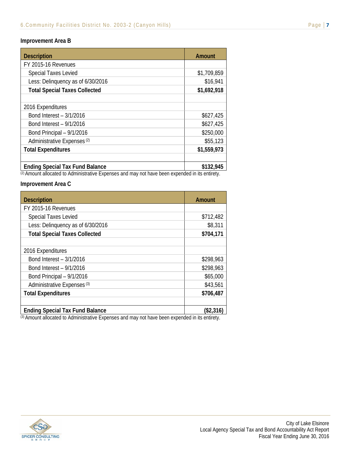#### **Improvement Area B**

| <b>Description</b>                     | <b>Amount</b>  |
|----------------------------------------|----------------|
| FY 2015-16 Revenues                    |                |
| <b>Special Taxes Levied</b>            | \$1,709,859    |
| Less: Delinquency as of 6/30/2016      | \$16,941       |
| <b>Total Special Taxes Collected</b>   | \$1,692,918    |
|                                        |                |
| 2016 Expenditures                      |                |
| Bond Interest - 3/1/2016               | \$627,425      |
| Bond Interest - 9/1/2016               | \$627,425      |
| Bond Principal - 9/1/2016              | \$250,000      |
| Administrative Expenses <sup>(2)</sup> | \$55,123       |
| <b>Total Expenditures</b>              | \$1,559,973    |
|                                        |                |
| <b>Ending Special Tax Fund Balance</b> | \$132,945<br>. |

 $\overline{2}$  Amount allocated to Administrative Expenses and may not have been expended in its entirety.

#### **Improvement Area C**

| <b>Description</b>                     | <b>Amount</b> |
|----------------------------------------|---------------|
| FY 2015-16 Revenues                    |               |
| <b>Special Taxes Levied</b>            | \$712,482     |
| Less: Delinquency as of 6/30/2016      | \$8,311       |
| <b>Total Special Taxes Collected</b>   | \$704,171     |
|                                        |               |
| 2016 Expenditures                      |               |
| Bond Interest - 3/1/2016               | \$298,963     |
| Bond Interest - 9/1/2016               | \$298,963     |
| Bond Principal - 9/1/2016              | \$65,000      |
| Administrative Expenses <sup>(3)</sup> | \$43,561      |
| <b>Total Expenditures</b>              | \$706,487     |
| <b>Ending Special Tax Fund Balance</b> | (\$2,316)     |

(3) Amount allocated to Administrative Expenses and may not have been expended in its entirety.

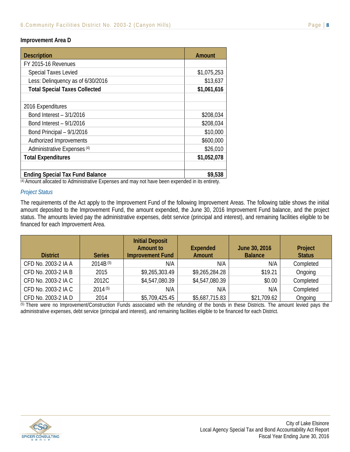#### **Improvement Area D**

| <b>Description</b>                     | <b>Amount</b> |
|----------------------------------------|---------------|
| FY 2015-16 Revenues                    |               |
| <b>Special Taxes Levied</b>            | \$1,075,253   |
| Less: Delinquency as of 6/30/2016      | \$13,637      |
| <b>Total Special Taxes Collected</b>   | \$1,061,616   |
|                                        |               |
| 2016 Expenditures                      |               |
| Bond Interest - 3/1/2016               | \$208,034     |
| Bond Interest - 9/1/2016               | \$208,034     |
| Bond Principal - 9/1/2016              | \$10,000      |
| Authorized Improvements                | \$600,000     |
| Administrative Expenses <sup>(4)</sup> | \$26,010      |
| <b>Total Expenditures</b>              | \$1,052,078   |
|                                        |               |
| <b>Ending Special Tax Fund Balance</b> | \$9,538       |

(4) Amount allocated to Administrative Expenses and may not have been expended in its entirety.

#### *Project Status*

The requirements of the Act apply to the Improvement Fund of the following Improvement Areas. The following table shows the initial amount deposited to the Improvement Fund, the amount expended, the June 30, 2016 Improvement Fund balance, and the project status. The amounts levied pay the administrative expenses, debt service (principal and interest), and remaining facilities eligible to be financed for each Improvement Area.

| <b>District</b>     | <b>Series</b> | <b>Initial Deposit</b><br><b>Amount to</b><br><b>Improvement Fund</b> | <b>Expended</b><br><b>Amount</b> | June 30, 2016<br><b>Balance</b> | Project<br><b>Status</b> |
|---------------------|---------------|-----------------------------------------------------------------------|----------------------------------|---------------------------------|--------------------------|
| CFD No. 2003-2 IA A | $2014B^{(5)}$ | N/A                                                                   | N/A                              | N/A                             | Completed                |
| CFD No. 2003-2 IA B | 2015          | \$9,265,303.49                                                        | \$9,265,284.28                   | \$19.21                         | Ongoing                  |
| CFD No. 2003-2 IA C | 2012C         | \$4,547,080.39                                                        | \$4,547,080.39                   | \$0.00                          | Completed                |
| CFD No. 2003-2 IA C | 2014(5)       | N/A                                                                   | N/A                              | N/A                             | Completed                |
| CFD No. 2003-2 IA D | 2014          | \$5,709,425.45                                                        | \$5,687,715.83                   | \$21,709.62                     | Ongoing                  |

(5) There were no Improvement/Construction Funds associated with the refunding of the bonds in these Districts. The amount levied pays the administrative expenses, debt service (principal and interest), and remaining facilities eligible to be financed for each District.

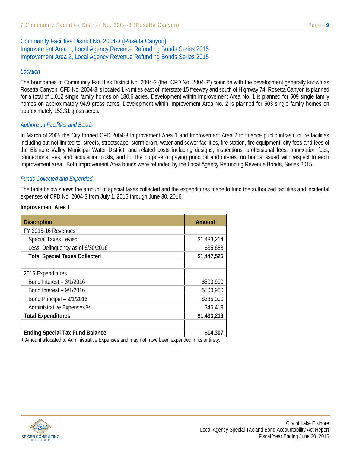#### Community Facilities District No. 2004-3 (Rosetta Canyon) Improvement Area 1, Local Agency Revenue Refunding Bonds Series 2015 Improvement Area 2, Local Agency Revenue Refunding Bonds Series 2015

#### *Location*

The boundaries of Community Facilities District No. 2004-3 (the "CFD No. 2004-3") coincide with the development generally known as Rosetta Canyon. CFD No. 2004-3 is located 1 ½ miles east of interstate 15 freeway and south of Highway 74. Rosetta Canyon is planned for a total of 1,012 single family homes on 180.6 acres. Development within Improvement Area No. 1 is planned for 509 single family homes on approximately 94.9 gross acres. Development within Improvement Area No. 2 is planned for 503 single family homes on approximately 153.31 gross acres.

#### *Authorized Facilities and Bonds*

In March of 2005 the City formed CFD 2004-3 Improvement Area 1 and Improvement Area 2 to finance public infrastructure facilities including but not limited to, streets, streetscape, storm drain, water and sewer facilities, fire station, fire equipment, city fees and fees of the Elsinore Valley Municipal Water District, and related costs including designs, inspections, professional fees, annexation fees, connections fees, and acquisition costs, and for the purpose of paying principal and interest on bonds issued with respect to each improvement area. Both Improvement Area bonds were refunded by the Local Agency Refunding Revenue Bonds, Series 2015.

#### *Funds Collected and Expended*

The table below shows the amount of special taxes collected and the expenditures made to fund the authorized facilities and incidental expenses of CFD No. 2004-3 from July 1, 2015 through June 30, 2016.

#### **Improvement Area 1**

| <b>Description</b>                     | Amount        |
|----------------------------------------|---------------|
| FY 2015-16 Revenues                    |               |
| <b>Special Taxes Levied</b>            | \$1,483,214   |
| Less: Delinquency as of 6/30/2016      | \$35,688      |
| <b>Total Special Taxes Collected</b>   | \$1,447,526   |
|                                        |               |
| 2016 Expenditures                      |               |
| Bond Interest - 3/1/2016               | \$500,900     |
| Bond Interest - 9/1/2016               | \$500,900     |
| Bond Principal - 9/1/2016              | \$385,000     |
| Administrative Expenses <sup>(1)</sup> | \$46,419      |
| <b>Total Expenditures</b>              | \$1,433,219   |
|                                        |               |
| <b>Ending Special Tax Fund Balance</b> | \$14,307<br>. |

(1) Amount allocated to Administrative Expenses and may not have been expended in its entirety.

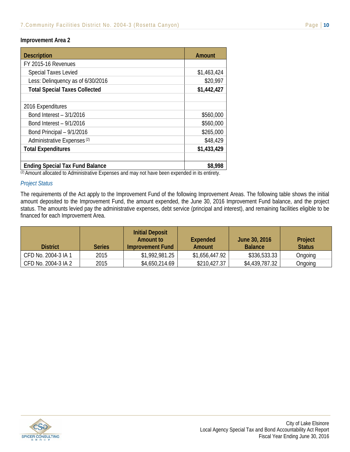#### **Improvement Area 2**

| <b>Description</b>                     | <b>Amount</b> |
|----------------------------------------|---------------|
| FY 2015-16 Revenues                    |               |
| <b>Special Taxes Levied</b>            | \$1,463,424   |
| Less: Delinquency as of 6/30/2016      | \$20,997      |
| <b>Total Special Taxes Collected</b>   | \$1,442,427   |
|                                        |               |
| 2016 Expenditures                      |               |
| Bond Interest - 3/1/2016               | \$560,000     |
| Bond Interest - 9/1/2016               | \$560,000     |
| Bond Principal - 9/1/2016              | \$265,000     |
| Administrative Expenses <sup>(2)</sup> | \$48,429      |
| <b>Total Expenditures</b>              | \$1,433,429   |
|                                        |               |
| <b>Ending Special Tax Fund Balance</b> | \$8,998       |

(2) Amount allocated to Administrative Expenses and may not have been expended in its entirety.

#### *Project Status*

The requirements of the Act apply to the Improvement Fund of the following Improvement Areas. The following table shows the initial amount deposited to the Improvement Fund, the amount expended, the June 30, 2016 Improvement Fund balance, and the project status. The amounts levied pay the administrative expenses, debt service (principal and interest), and remaining facilities eligible to be financed for each Improvement Area.

| <b>District</b>     | <b>Series</b> | <b>Initial Deposit</b><br>Amount to<br>Improvement Fund | Expended<br>Amount | June 30, 2016<br><b>Balance</b> | Project<br><b>Status</b> |
|---------------------|---------------|---------------------------------------------------------|--------------------|---------------------------------|--------------------------|
| CFD No. 2004-3 IA 1 | 2015          | \$1,992,981.25                                          | \$1,656,447.92     | \$336,533.33                    | Ongoing                  |
| CFD No. 2004-3 IA 2 | 2015          | \$4,650,214.69                                          | \$210,427.37       | \$4,439,787.32                  | Ongoing                  |

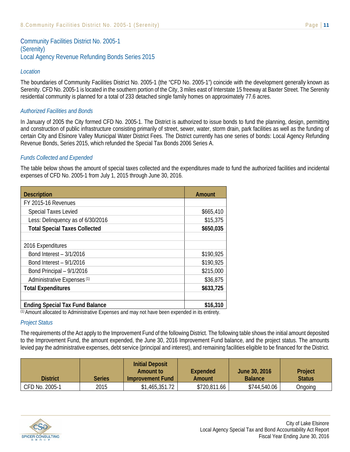Community Facilities District No. 2005-1 (Serenity) Local Agency Revenue Refunding Bonds Series 2015

#### *Location*

The boundaries of Community Facilities District No. 2005-1 (the "CFD No. 2005-1") coincide with the development generally known as Serenity. CFD No. 2005-1 is located in the southern portion of the City, 3 miles east of Interstate 15 freeway at Baxter Street. The Serenity residential community is planned for a total of 233 detached single family homes on approximately 77.6 acres.

#### *Authorized Facilities and Bonds*

In January of 2005 the City formed CFD No. 2005-1. The District is authorized to issue bonds to fund the planning, design, permitting and construction of public infrastructure consisting primarily of street, sewer, water, storm drain, park facilities as well as the funding of certain City and Elsinore Valley Municipal Water District Fees. The District currently has one series of bonds: Local Agency Refunding Revenue Bonds, Series 2015, which refunded the Special Tax Bonds 2006 Series A.

#### *Funds Collected and Expended*

The table below shows the amount of special taxes collected and the expenditures made to fund the authorized facilities and incidental expenses of CFD No. 2005-1 from July 1, 2015 through June 30, 2016.

| <b>Description</b>                     | <b>Amount</b> |
|----------------------------------------|---------------|
| FY 2015-16 Revenues                    |               |
| <b>Special Taxes Levied</b>            | \$665,410     |
| Less: Delinquency as of 6/30/2016      | \$15,375      |
| <b>Total Special Taxes Collected</b>   | \$650,035     |
|                                        |               |
| 2016 Expenditures                      |               |
| Bond Interest - 3/1/2016               | \$190,925     |
| Bond Interest - 9/1/2016               | \$190,925     |
| Bond Principal - 9/1/2016              | \$215,000     |
| Administrative Expenses <sup>(1)</sup> | \$36,875      |
| <b>Total Expenditures</b>              | \$633,725     |
|                                        |               |
| <b>Ending Special Tax Fund Balance</b> | \$16,310<br>. |

(1) Amount allocated to Administrative Expenses and may not have been expended in its entirety.

#### *Project Status*

The requirements of the Act apply to the Improvement Fund of the following District. The following table shows the initial amount deposited to the Improvement Fund, the amount expended, the June 30, 2016 Improvement Fund balance, and the project status. The amounts levied pay the administrative expenses, debt service (principal and interest), and remaining facilities eligible to be financed for the District.

| District       | Series | <b>Initial Deposit</b><br>Amount to<br>Improvement Fund | Expended<br>Amount | June 30, 2016<br><b>Balance</b> | Project<br><b>Status</b> |
|----------------|--------|---------------------------------------------------------|--------------------|---------------------------------|--------------------------|
| CFD No. 2005-1 | 2015   | \$1,465,351.72                                          | \$720,811.66       | \$744,540.06                    | Ongoing                  |

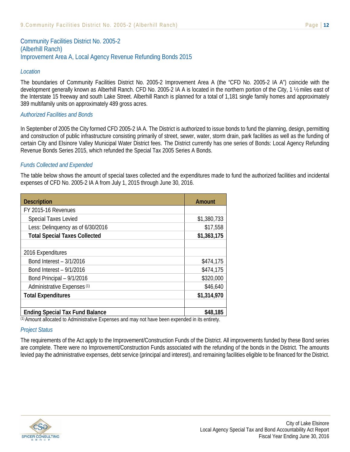### Community Facilities District No. 2005-2 (Alberhill Ranch) Improvement Area A, Local Agency Revenue Refunding Bonds 2015

#### *Location*

The boundaries of Community Facilities District No. 2005-2 Improvement Area A (the "CFD No. 2005-2 IA A") coincide with the development generally known as Alberhill Ranch. CFD No. 2005-2 IA A is located in the northern portion of the City, 1 ½ miles east of the Interstate 15 freeway and south Lake Street. Alberhill Ranch is planned for a total of 1,181 single family homes and approximately 389 multifamily units on approximately 489 gross acres.

#### *Authorized Facilities and Bonds*

In September of 2005 the City formed CFD 2005-2 IA A. The District is authorized to issue bonds to fund the planning, design, permitting and construction of public infrastructure consisting primarily of street, sewer, water, storm drain, park facilities as well as the funding of certain City and Elsinore Valley Municipal Water District fees. The District currently has one series of Bonds: Local Agency Refunding Revenue Bonds Series 2015, which refunded the Special Tax 2005 Series A Bonds.

#### *Funds Collected and Expended*

The table below shows the amount of special taxes collected and the expenditures made to fund the authorized facilities and incidental expenses of CFD No. 2005-2 IA A from July 1, 2015 through June 30, 2016.

| <b>Description</b>                     | Amount      |
|----------------------------------------|-------------|
| FY 2015-16 Revenues                    |             |
| <b>Special Taxes Levied</b>            | \$1,380,733 |
| Less: Delinquency as of 6/30/2016      | \$17,558    |
| <b>Total Special Taxes Collected</b>   | \$1,363,175 |
|                                        |             |
| 2016 Expenditures                      |             |
| Bond Interest - 3/1/2016               | \$474,175   |
| Bond Interest - 9/1/2016               | \$474,175   |
| Bond Principal - 9/1/2016              | \$320,000   |
| Administrative Expenses <sup>(1)</sup> | \$46,640    |
| <b>Total Expenditures</b>              | \$1,314,970 |
|                                        |             |
| <b>Ending Special Tax Fund Balance</b> | \$48,185    |

(1) Amount allocated to Administrative Expenses and may not have been expended in its entirety.

#### *Project Status*

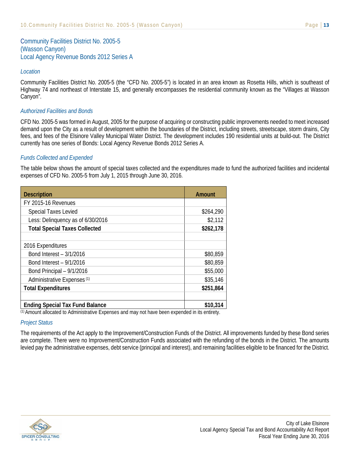Community Facilities District No. 2005-5 (Wasson Canyon) Local Agency Revenue Bonds 2012 Series A

#### *Location*

Community Facilities District No. 2005-5 (the "CFD No. 2005-5") is located in an area known as Rosetta Hills, which is southeast of Highway 74 and northeast of Interstate 15, and generally encompasses the residential community known as the "Villages at Wasson Canyon".

#### *Authorized Facilities and Bonds*

CFD No. 2005-5 was formed in August, 2005 for the purpose of acquiring or constructing public improvements needed to meet increased demand upon the City as a result of development within the boundaries of the District, including streets, streetscape, storm drains, City fees, and fees of the Elsinore Valley Municipal Water District. The development includes 190 residential units at build-out. The District currently has one series of Bonds: Local Agency Revenue Bonds 2012 Series A.

#### *Funds Collected and Expended*

The table below shows the amount of special taxes collected and the expenditures made to fund the authorized facilities and incidental expenses of CFD No. 2005-5 from July 1, 2015 through June 30, 2016.

| <b>Description</b>                                      | <b>Amount</b> |
|---------------------------------------------------------|---------------|
| FY 2015-16 Revenues                                     |               |
| <b>Special Taxes Levied</b>                             | \$264,290     |
| Less: Delinquency as of 6/30/2016                       | \$2,112       |
| <b>Total Special Taxes Collected</b>                    | \$262,178     |
|                                                         |               |
| 2016 Expenditures                                       |               |
| Bond Interest - 3/1/2016                                | \$80,859      |
| Bond Interest - 9/1/2016                                | \$80,859      |
| Bond Principal - 9/1/2016                               | \$55,000      |
| Administrative Expenses <sup>(1)</sup>                  | \$35,146      |
| <b>Total Expenditures</b>                               | \$251,864     |
|                                                         |               |
| <b>Ending Special Tax Fund Balance</b><br>$\sim$ $\sim$ | \$10,314<br>. |

(1) Amount allocated to Administrative Expenses and may not have been expended in its entirety.

#### *Project Status*

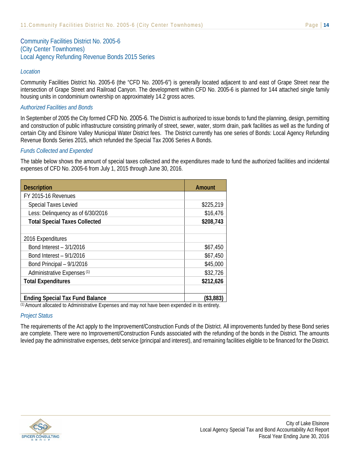Community Facilities District No. 2005-6 (City Center Townhomes) Local Agency Refunding Revenue Bonds 2015 Series

#### *Location*

Community Facilities District No. 2005-6 (the "CFD No. 2005-6") is generally located adjacent to and east of Grape Street near the intersection of Grape Street and Railroad Canyon. The development within CFD No. 2005-6 is planned for 144 attached single family housing units in condominium ownership on approximately 14.2 gross acres.

#### *Authorized Facilities and Bonds*

In September of 2005 the City formed CFD No. 2005-6. The District is authorized to issue bonds to fund the planning, design, permitting and construction of public infrastructure consisting primarily of street, sewer, water, storm drain, park facilities as well as the funding of certain City and Elsinore Valley Municipal Water District fees. The District currently has one series of Bonds: Local Agency Refunding Revenue Bonds Series 2015, which refunded the Special Tax 2006 Series A Bonds.

#### *Funds Collected and Expended*

The table below shows the amount of special taxes collected and the expenditures made to fund the authorized facilities and incidental expenses of CFD No. 2005-6 from July 1, 2015 through June 30, 2016.

| <b>Description</b>                                                                                                        | <b>Amount</b>               |
|---------------------------------------------------------------------------------------------------------------------------|-----------------------------|
| FY 2015-16 Revenues                                                                                                       |                             |
| <b>Special Taxes Levied</b>                                                                                               | \$225,219                   |
| Less: Delinquency as of 6/30/2016                                                                                         | \$16,476                    |
| <b>Total Special Taxes Collected</b>                                                                                      | \$208,743                   |
|                                                                                                                           |                             |
| 2016 Expenditures                                                                                                         |                             |
| Bond Interest - 3/1/2016                                                                                                  | \$67,450                    |
| Bond Interest - 9/1/2016                                                                                                  | \$67,450                    |
| Bond Principal - 9/1/2016                                                                                                 | \$45,000                    |
| Administrative Expenses <sup>(1)</sup>                                                                                    | \$32,726                    |
| <b>Total Expenditures</b>                                                                                                 | \$212,626                   |
|                                                                                                                           |                             |
| <b>Ending Special Tax Fund Balance</b>                                                                                    | (\$3,883)                   |
| (1) A construction of the state of the Andreal Section (1) $\Box$ . $\Box$<br>and the action of the com-<br>distances and | المسافل وبالمساوي والمساوية |

(1) Amount allocated to Administrative Expenses and may not have been expended in its entirety.

#### *Project Status*

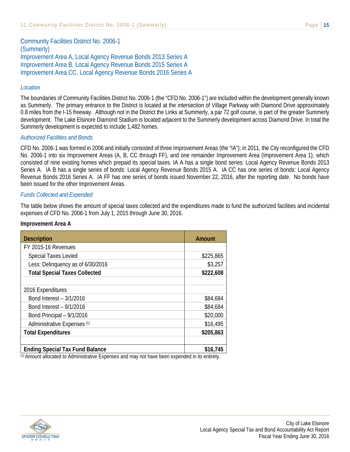Community Facilities District No. 2006-1 (Summerly) Improvement Area A, Local Agency Revenue Bonds 2013 Series A Improvement Area B, Local Agency Revenue Bonds 2015 Series A Improvement Area CC, Local Agency Revenue Bonds 2016 Series A

#### *Location*

The boundaries of Community Facilities District No. 2006-1 (the "CFD No. 2006-1") are included within the development generally known as Summerly. The primary entrance to the District is located at the intersection of Village Parkway with Diamond Drive approximately 0.8 miles from the I-15 freeway. Although not in the District the Links at Summerly, a par 72 golf course, is part of the greater Summerly development. The Lake Elsinore Diamond Stadium is located adjacent to the Summerly development across Diamond Drive. In total the Summerly development is expected to include 1,482 homes.

#### *Authorized Facilities and Bonds*

CFD No. 2006-1 was formed in 2006 and initially consisted of three Improvement Areas (the "IA"); in 2011, the City reconfigured the CFD No. 2006-1 into six Improvement Areas (A, B, CC through FF), and one remainder Improvement Area (Improvement Area 1), which consisted of nine existing homes which prepaid its special taxes. IA A has a single bond series: Local Agency Revenue Bonds 2013 Series A. IA B has a single series of bonds: Local Agency Revenue Bonds 2015 A. IA CC has one series of bonds: Local Agency Revenue Bonds 2016 Series A. IA FF has one series of bonds issued November 22, 2016, after the reporting date. No bonds have been issued for the other Improvement Areas.

#### *Funds Collected and Expended*

The table below shows the amount of special taxes collected and the expenditures made to fund the authorized facilities and incidental expenses of CFD No. 2006-1 from July 1, 2015 through June 30, 2016.

#### **Improvement Area A**

| <b>Description</b>                     | Amount    |
|----------------------------------------|-----------|
| FY 2015-16 Revenues                    |           |
| <b>Special Taxes Levied</b>            | \$225,865 |
| Less: Delinquency as of 6/30/2016      | \$3,257   |
| <b>Total Special Taxes Collected</b>   | \$222,608 |
|                                        |           |
| 2016 Expenditures                      |           |
| Bond Interest - 3/1/2016               | \$84,684  |
| Bond Interest - 9/1/2016               | \$84,684  |
| Bond Principal - 9/1/2016              | \$20,000  |
| Administrative Expenses <sup>(1)</sup> | \$16,495  |
| <b>Total Expenditures</b>              | \$205,863 |
|                                        |           |
| <b>Ending Special Tax Fund Balance</b> | \$16,745  |

(1) Amount allocated to Administrative Expenses and may not have been expended in its entirety.

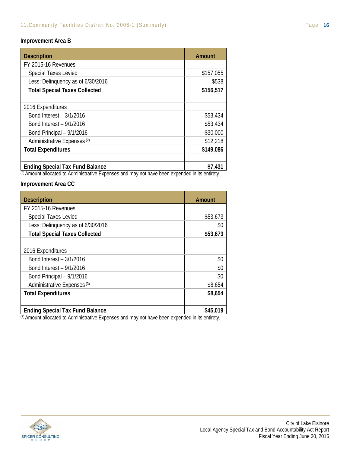| <b>Description</b>                                      | <b>Amount</b> |
|---------------------------------------------------------|---------------|
| FY 2015-16 Revenues                                     |               |
| <b>Special Taxes Levied</b>                             | \$157,055     |
| Less: Delinquency as of 6/30/2016                       | \$538         |
| <b>Total Special Taxes Collected</b>                    | \$156,517     |
|                                                         |               |
| 2016 Expenditures                                       |               |
| Bond Interest - 3/1/2016                                | \$53,434      |
| Bond Interest - 9/1/2016                                | \$53,434      |
| Bond Principal - 9/1/2016                               | \$30,000      |
| Administrative Expenses <sup>(2)</sup>                  | \$12,218      |
| <b>Total Expenditures</b>                               | \$149,086     |
|                                                         |               |
| <b>Ending Special Tax Fund Balance</b><br>$\sim$ $\sim$ | \$7,431<br>.  |

(2) Amount allocated to Administrative Expenses and may not have been expended in its entirety.

#### **Improvement Area CC**

| <b>Description</b>                                             | <b>Amount</b> |
|----------------------------------------------------------------|---------------|
| FY 2015-16 Revenues                                            |               |
| <b>Special Taxes Levied</b>                                    | \$53,673      |
| Less: Delinquency as of 6/30/2016                              | \$0           |
| <b>Total Special Taxes Collected</b>                           | \$53,673      |
|                                                                |               |
| 2016 Expenditures                                              |               |
| Bond Interest - 3/1/2016                                       | \$0           |
| Bond Interest - 9/1/2016                                       | \$0           |
| Bond Principal - 9/1/2016                                      | \$0           |
| Administrative Expenses <sup>(3)</sup>                         | \$8,654       |
| <b>Total Expenditures</b>                                      | \$8,654       |
| <b>Ending Special Tax Fund Balance</b><br>$\sim$ $\sim$<br>. . | \$45,019<br>. |

(3) Amount allocated to Administrative Expenses and may not have been expended in its entirety.

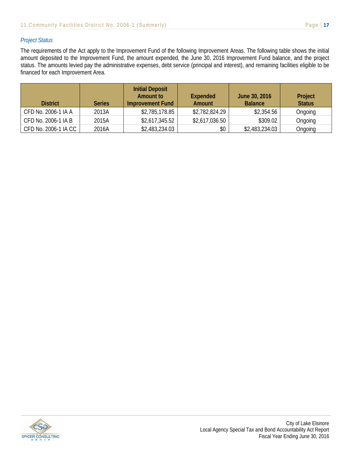#### *Project Status*

The requirements of the Act apply to the Improvement Fund of the following Improvement Areas. The following table shows the initial amount deposited to the Improvement Fund, the amount expended, the June 30, 2016 Improvement Fund balance, and the project status. The amounts levied pay the administrative expenses, debt service (principal and interest), and remaining facilities eligible to be financed for each Improvement Area.

| <b>District</b>      | <b>Series</b> | <b>Initial Deposit</b><br><b>Amount to</b><br>Improvement Fund | <b>Expended</b><br>Amount | June 30, 2016<br><b>Balance</b> | Project<br><b>Status</b> |
|----------------------|---------------|----------------------------------------------------------------|---------------------------|---------------------------------|--------------------------|
| CFD No. 2006-1 IA A  | 2013A         | \$2,785,178.85                                                 | \$2,782,824.29            | \$2,354.56                      | Ongoing                  |
| CFD No. 2006-1 IA B  | 2015A         | \$2,617,345.52                                                 | \$2,617,036.50            | \$309.02                        | Ongoing                  |
| CFD No. 2006-1 IA CC | 2016A         | \$2,483,234.03                                                 | \$0                       | \$2,483,234.03                  | Ongoing                  |

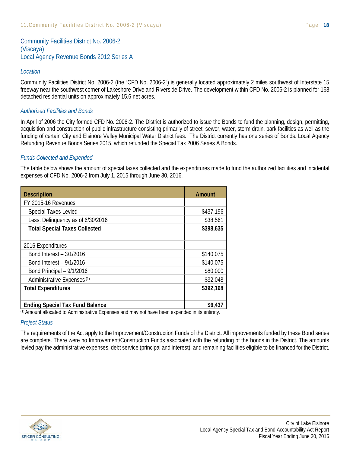Community Facilities District No. 2006-2 (Viscaya) Local Agency Revenue Bonds 2012 Series A

#### *Location*

Community Facilities District No. 2006-2 (the "CFD No. 2006-2") is generally located approximately 2 miles southwest of Interstate 15 freeway near the southwest corner of Lakeshore Drive and Riverside Drive. The development within CFD No. 2006-2 is planned for 168 detached residential units on approximately 15.6 net acres.

#### *Authorized Facilities and Bonds*

In April of 2006 the City formed CFD No. 2006-2. The District is authorized to issue the Bonds to fund the planning, design, permitting, acquisition and construction of public infrastructure consisting primarily of street, sewer, water, storm drain, park facilities as well as the funding of certain City and Elsinore Valley Municipal Water District fees. The District currently has one series of Bonds: Local Agency Refunding Revenue Bonds Series 2015, which refunded the Special Tax 2006 Series A Bonds.

#### *Funds Collected and Expended*

The table below shows the amount of special taxes collected and the expenditures made to fund the authorized facilities and incidental expenses of CFD No. 2006-2 from July 1, 2015 through June 30, 2016.

| <b>Description</b>                                     | <b>Amount</b> |
|--------------------------------------------------------|---------------|
| FY 2015-16 Revenues                                    |               |
| <b>Special Taxes Levied</b>                            | \$437,196     |
| Less: Delinquency as of 6/30/2016                      | \$38,561      |
| <b>Total Special Taxes Collected</b>                   | \$398,635     |
|                                                        |               |
| 2016 Expenditures                                      |               |
| Bond Interest - 3/1/2016                               | \$140,075     |
| Bond Interest - 9/1/2016                               | \$140,075     |
| Bond Principal - 9/1/2016                              | \$80,000      |
| Administrative Expenses <sup>(1)</sup>                 | \$32,048      |
| <b>Total Expenditures</b>                              | \$392,198     |
|                                                        |               |
| <b>Ending Special Tax Fund Balance</b><br>$(1)$ A<br>. | \$6,437<br>.  |

(1) Amount allocated to Administrative Expenses and may not have been expended in its entirety.

#### *Project Status*